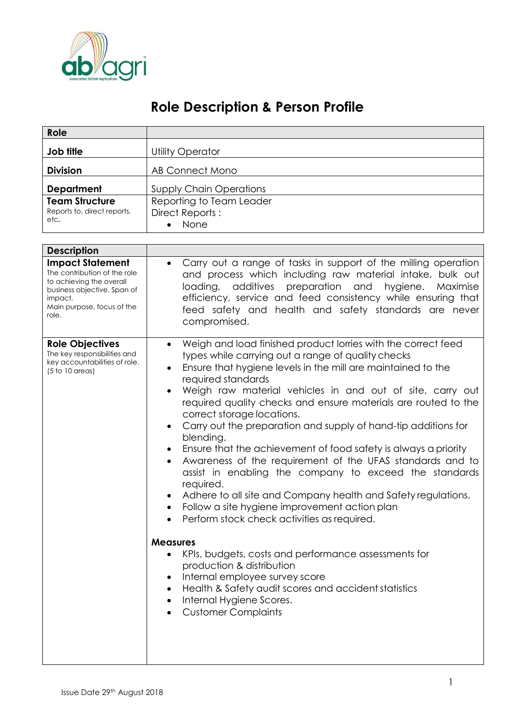

## **Role Description & Person Profile**

| Role                                                                                                                                                                 |                                                                                                                                                                                                                                                                                                                                                                                                                                                                                                                                                                                                                                                                                                                                                                                                                                                                                                                                                                                                                                                                                                                                                 |  |  |
|----------------------------------------------------------------------------------------------------------------------------------------------------------------------|-------------------------------------------------------------------------------------------------------------------------------------------------------------------------------------------------------------------------------------------------------------------------------------------------------------------------------------------------------------------------------------------------------------------------------------------------------------------------------------------------------------------------------------------------------------------------------------------------------------------------------------------------------------------------------------------------------------------------------------------------------------------------------------------------------------------------------------------------------------------------------------------------------------------------------------------------------------------------------------------------------------------------------------------------------------------------------------------------------------------------------------------------|--|--|
| Job title                                                                                                                                                            | <b>Utility Operator</b>                                                                                                                                                                                                                                                                                                                                                                                                                                                                                                                                                                                                                                                                                                                                                                                                                                                                                                                                                                                                                                                                                                                         |  |  |
| <b>Division</b>                                                                                                                                                      | AB Connect Mono                                                                                                                                                                                                                                                                                                                                                                                                                                                                                                                                                                                                                                                                                                                                                                                                                                                                                                                                                                                                                                                                                                                                 |  |  |
| <b>Department</b><br><b>Team Structure</b><br>Reports to, direct reports,<br>etc.                                                                                    | <b>Supply Chain Operations</b><br>Reporting to Team Leader<br>Direct Reports:<br>None                                                                                                                                                                                                                                                                                                                                                                                                                                                                                                                                                                                                                                                                                                                                                                                                                                                                                                                                                                                                                                                           |  |  |
| <b>Description</b>                                                                                                                                                   |                                                                                                                                                                                                                                                                                                                                                                                                                                                                                                                                                                                                                                                                                                                                                                                                                                                                                                                                                                                                                                                                                                                                                 |  |  |
| <b>Impact Statement</b><br>The contribution of the role<br>to achieving the overall<br>business objective. Span of<br>impact.<br>Main purpose, focus of the<br>role. | Carry out a range of tasks in support of the milling operation<br>and process which including raw material intake, bulk out<br>additives preparation and<br>loading,<br>hygiene.<br>Maximise<br>efficiency, service and feed consistency while ensuring that<br>feed safety and health and safety standards are never<br>compromised.                                                                                                                                                                                                                                                                                                                                                                                                                                                                                                                                                                                                                                                                                                                                                                                                           |  |  |
| <b>Role Objectives</b><br>The key responsibilities and<br>key accountabilities of role.<br>$(5 to 10$ areas)                                                         | Weigh and load finished product lorries with the correct feed<br>$\bullet$<br>types while carrying out a range of quality checks<br>Ensure that hygiene levels in the mill are maintained to the<br>$\bullet$<br>required standards<br>Weigh raw material vehicles in and out of site, carry out<br>required quality checks and ensure materials are routed to the<br>correct storage locations.<br>Carry out the preparation and supply of hand-tip additions for<br>$\bullet$<br>blending.<br>Ensure that the achievement of food safety is always a priority<br>Awareness of the requirement of the UFAS standards and to<br>٠<br>assist in enabling the company to exceed the standards<br>required.<br>Adhere to all site and Company health and Safety regulations.<br>Follow a site hygiene improvement action plan<br>Perform stock check activities as required.<br><b>Measures</b><br>KPIs, budgets, costs and performance assessments for<br>production & distribution<br>Internal employee survey score<br>Health & Safety audit scores and accident statistics<br>٠<br>Internal Hygiene Scores.<br>٠<br><b>Customer Complaints</b> |  |  |